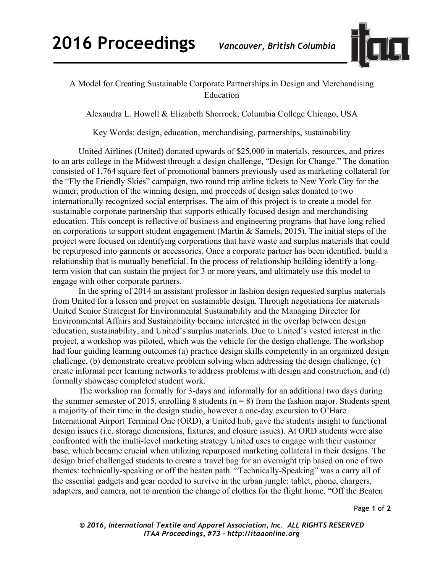

## A Model for Creating Sustainable Corporate Partnerships in Design and Merchandising Education

Alexandra L. Howell & Elizabeth Shorrock, Columbia College Chicago, USA

Key Words: design, education, merchandising, partnerships, sustainability

United Airlines (United) donated upwards of \$25,000 in materials, resources, and prizes to an arts college in the Midwest through a design challenge, "Design for Change." The donation consisted of 1,764 square feet of promotional banners previously used as marketing collateral for the "Fly the Friendly Skies" campaign, two round trip airline tickets to New York City for the winner, production of the winning design, and proceeds of design sales donated to two internationally recognized social enterprises. The aim of this project is to create a model for sustainable corporate partnership that supports ethically focused design and merchandising education. This concept is reflective of business and engineering programs that have long relied on corporations to support student engagement (Martin & Samels, 2015). The initial steps of the project were focused on identifying corporations that have waste and surplus materials that could be repurposed into garments or accessories. Once a corporate partner has been identified, build a relationship that is mutually beneficial. In the process of relationship building identify a longterm vision that can sustain the project for 3 or more years, and ultimately use this model to engage with other corporate partners.

In the spring of 2014 an assistant professor in fashion design requested surplus materials from United for a lesson and project on sustainable design. Through negotiations for materials United Senior Strategist for Environmental Sustainability and the Managing Director for Environmental Affairs and Sustainability became interested in the overlap between design education, sustainability, and United's surplus materials. Due to United's vested interest in the project, a workshop was piloted, which was the vehicle for the design challenge. The workshop had four guiding learning outcomes (a) practice design skills competently in an organized design challenge, (b) demonstrate creative problem solving when addressing the design challenge, (c) create informal peer learning networks to address problems with design and construction, and (d) formally showcase completed student work.

The workshop ran formally for 3-days and informally for an additional two days during the summer semester of 2015, enrolling 8 students ( $n = 8$ ) from the fashion major. Students spent a majority of their time in the design studio, however a one-day excursion to O'Hare International Airport Terminal One (ORD), a United hub, gave the students insight to functional design issues (i.e. storage dimensions, fixtures, and closure issues). At ORD students were also confronted with the multi-level marketing strategy United uses to engage with their customer base, which became crucial when utilizing repurposed marketing collateral in their designs. The design brief challenged students to create a travel bag for an overnight trip based on one of two themes: technically-speaking or off the beaten path. "Technically-Speaking" was a carry all of the essential gadgets and gear needed to survive in the urban jungle: tablet, phone, chargers, adapters, and camera, not to mention the change of clothes for the flight home. "Off the Beaten

Page **1** of **2**

*© 2016, International Textile and Apparel Association, Inc. ALL RIGHTS RESERVED ITAA Proceedings, #73 – http://itaaonline.org*